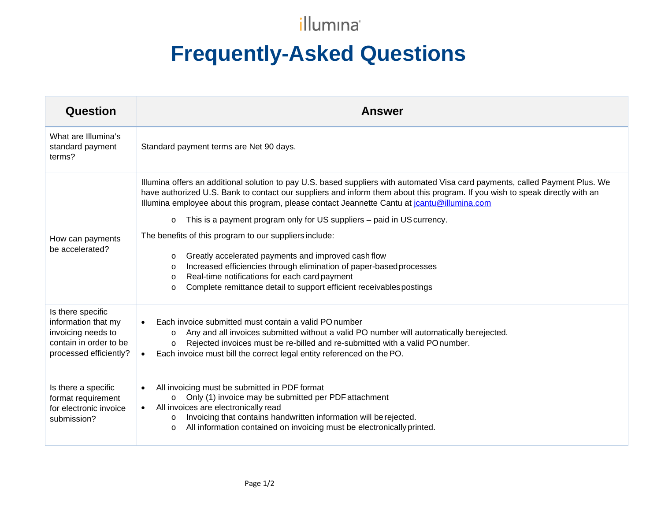## illumina®

## **Frequently-Asked Questions**

| <b>Question</b>                                                                    | <b>Answer</b>                                                                                                                                                                                                                                                                                                                                                |
|------------------------------------------------------------------------------------|--------------------------------------------------------------------------------------------------------------------------------------------------------------------------------------------------------------------------------------------------------------------------------------------------------------------------------------------------------------|
| What are Illumina's<br>standard payment<br>terms?                                  | Standard payment terms are Net 90 days.                                                                                                                                                                                                                                                                                                                      |
| How can payments<br>be accelerated?                                                | Illumina offers an additional solution to pay U.S. based suppliers with automated Visa card payments, called Payment Plus. We<br>have authorized U.S. Bank to contact our suppliers and inform them about this program. If you wish to speak directly with an<br>Illumina employee about this program, please contact Jeannette Cantu at jountu@illumina.com |
|                                                                                    | This is a payment program only for US suppliers – paid in US currency.<br>$\circ$                                                                                                                                                                                                                                                                            |
|                                                                                    | The benefits of this program to our suppliers include:                                                                                                                                                                                                                                                                                                       |
|                                                                                    | Greatly accelerated payments and improved cash flow<br>$\circ$                                                                                                                                                                                                                                                                                               |
|                                                                                    | Increased efficiencies through elimination of paper-based processes<br>$\circ$                                                                                                                                                                                                                                                                               |
|                                                                                    | Real-time notifications for each card payment<br>$\circ$<br>Complete remittance detail to support efficient receivables postings<br>$\Omega$                                                                                                                                                                                                                 |
|                                                                                    |                                                                                                                                                                                                                                                                                                                                                              |
| Is there specific<br>information that my                                           |                                                                                                                                                                                                                                                                                                                                                              |
|                                                                                    | Each invoice submitted must contain a valid PO number                                                                                                                                                                                                                                                                                                        |
| invoicing needs to<br>contain in order to be                                       | Any and all invoices submitted without a valid PO number will automatically berejected.<br>$\circ$<br>Rejected invoices must be re-billed and re-submitted with a valid PO number.<br>$\circ$                                                                                                                                                                |
| processed efficiently?                                                             | Each invoice must bill the correct legal entity referenced on the PO.                                                                                                                                                                                                                                                                                        |
|                                                                                    |                                                                                                                                                                                                                                                                                                                                                              |
| Is there a specific<br>format requirement<br>for electronic invoice<br>submission? | All invoicing must be submitted in PDF format                                                                                                                                                                                                                                                                                                                |
|                                                                                    | Only (1) invoice may be submitted per PDF attachment<br>$\circ$                                                                                                                                                                                                                                                                                              |
|                                                                                    | • All invoices are electronically read                                                                                                                                                                                                                                                                                                                       |
|                                                                                    | Invoicing that contains handwritten information will be rejected.<br>$\circ$<br>All information contained on invoicing must be electronically printed.<br>$\circ$                                                                                                                                                                                            |
|                                                                                    |                                                                                                                                                                                                                                                                                                                                                              |